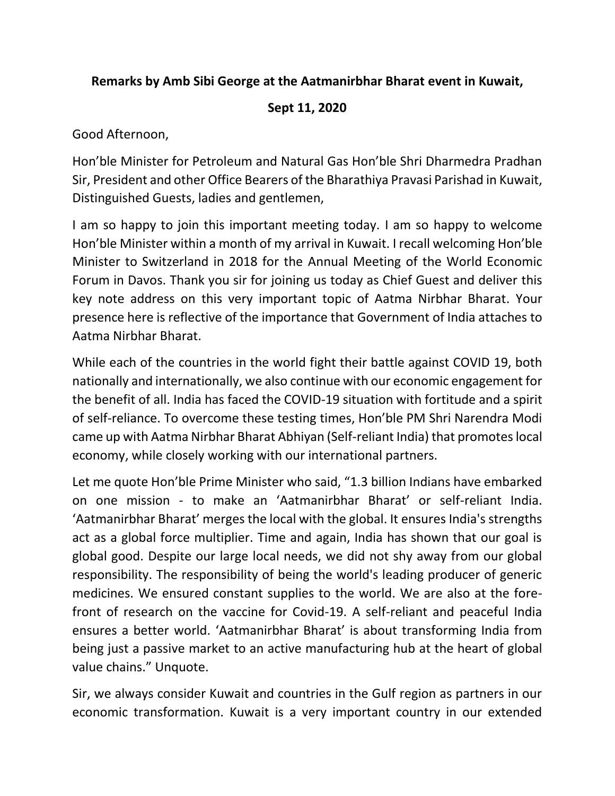## **Remarks by Amb Sibi George at the Aatmanirbhar Bharat event in Kuwait,**

## **Sept 11, 2020**

Good Afternoon,

Hon'ble Minister for Petroleum and Natural Gas Hon'ble Shri Dharmedra Pradhan Sir, President and other Office Bearers of the Bharathiya Pravasi Parishad in Kuwait, Distinguished Guests, ladies and gentlemen,

I am so happy to join this important meeting today. I am so happy to welcome Hon'ble Minister within a month of my arrival in Kuwait. I recall welcoming Hon'ble Minister to Switzerland in 2018 for the Annual Meeting of the World Economic Forum in Davos. Thank you sir for joining us today as Chief Guest and deliver this key note address on this very important topic of Aatma Nirbhar Bharat. Your presence here is reflective of the importance that Government of India attaches to Aatma Nirbhar Bharat.

While each of the countries in the world fight their battle against COVID 19, both nationally and internationally, we also continue with our economic engagement for the benefit of all. India has faced the COVID-19 situation with fortitude and a spirit of self-reliance. To overcome these testing times, Hon'ble PM Shri Narendra Modi came up with Aatma Nirbhar Bharat Abhiyan (Self-reliant India) that promotes local economy, while closely working with our international partners.

Let me quote Hon'ble Prime Minister who said, "1.3 billion Indians have embarked on one mission - to make an 'Aatmanirbhar Bharat' or self-reliant India. 'Aatmanirbhar Bharat' merges the local with the global. It ensures India's strengths act as a global force multiplier. Time and again, India has shown that our goal is global good. Despite our large local needs, we did not shy away from our global responsibility. The responsibility of being the world's leading producer of generic medicines. We ensured constant supplies to the world. We are also at the forefront of research on the vaccine for Covid-19. A self-reliant and peaceful India ensures a better world. 'Aatmanirbhar Bharat' is about transforming India from being just a passive market to an active manufacturing hub at the heart of global value chains." Unquote.

Sir, we always consider Kuwait and countries in the Gulf region as partners in our economic transformation. Kuwait is a very important country in our extended